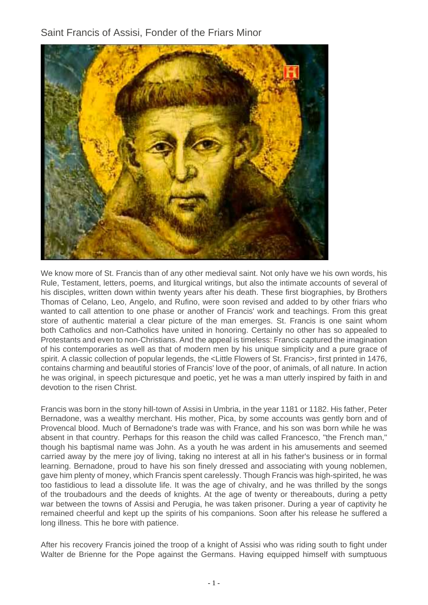Saint Francis of Assisi, Fonder of the Friars Minor



We know more of St. Francis than of any other medieval saint. Not only have we his own words, his Rule, Testament, letters, poems, and liturgical writings, but also the intimate accounts of several of his disciples, written down within twenty years after his death. These first biographies, by Brothers Thomas of Celano, Leo, Angelo, and Rufino, were soon revised and added to by other friars who wanted to call attention to one phase or another of Francis' work and teachings. From this great store of authentic material a clear picture of the man emerges. St. Francis is one saint whom both Catholics and non-Catholics have united in honoring. Certainly no other has so appealed to Protestants and even to non-Christians. And the appeal is timeless: Francis captured the imagination of his contemporaries as well as that of modern men by his unique simplicity and a pure grace of spirit. A classic collection of popular legends, the <Little Flowers of St. Francis>, first printed in 1476, contains charming and beautiful stories of Francis' love of the poor, of animals, of all nature. In action he was original, in speech picturesque and poetic, yet he was a man utterly inspired by faith in and devotion to the risen Christ.

Francis was born in the stony hill-town of Assisi in Umbria, in the year 1181 or 1182. His father, Peter Bernadone, was a wealthy merchant. His mother, Pica, by some accounts was gently born and of Provencal blood. Much of Bernadone's trade was with France, and his son was born while he was absent in that country. Perhaps for this reason the child was called Francesco, "the French man," though his baptismal name was John. As a youth he was ardent in his amusements and seemed carried away by the mere joy of living, taking no interest at all in his father's business or in formal learning. Bernadone, proud to have his son finely dressed and associating with young noblemen, gave him plenty of money, which Francis spent carelessly. Though Francis was high-spirited, he was too fastidious to lead a dissolute life. It was the age of chivalry, and he was thrilled by the songs of the troubadours and the deeds of knights. At the age of twenty or thereabouts, during a petty war between the towns of Assisi and Perugia, he was taken prisoner. During a year of captivity he remained cheerful and kept up the spirits of his companions. Soon after his release he suffered a long illness. This he bore with patience.

After his recovery Francis joined the troop of a knight of Assisi who was riding south to fight under Walter de Brienne for the Pope against the Germans. Having equipped himself with sumptuous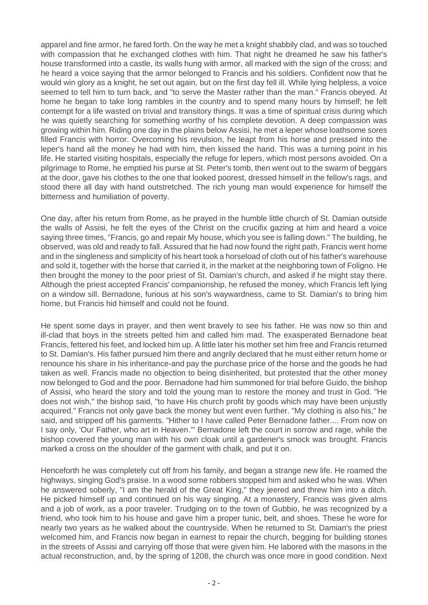apparel and fine armor, he fared forth. On the way he met a knight shabbily clad, and was so touched with compassion that he exchanged clothes with him. That night he dreamed he saw his father's house transformed into a castle, its walls hung with armor, all marked with the sign of the cross; and he heard a voice saying that the armor belonged to Francis and his soldiers. Confident now that he would win glory as a knight, he set out again, but on the first day fell ill. While lying helpless, a voice seemed to tell him to turn back, and "to serve the Master rather than the man." Francis obeyed. At home he began to take long rambles in the country and to spend many hours by himself; he felt contempt for a life wasted on trivial and transitory things. It was a time of spiritual crisis during which he was quietly searching for something worthy of his complete devotion. A deep compassion was growing within him. Riding one day in the plains below Assisi, he met a leper whose loathsome sores filled Francis with horror. Overcoming his revulsion, he leapt from his horse and pressed into the leper's hand all the money he had with him, then kissed the hand. This was a turning point in his life. He started visiting hospitals, especially the refuge for lepers, which most persons avoided. On a pilgrimage to Rome, he emptied his purse at St. Peter's tomb, then went out to the swarm of beggars at the door, gave his clothes to the one that looked poorest, dressed himself in the fellow's rags, and stood there all day with hand outstretched. The rich young man would experience for himself the bitterness and humiliation of poverty.

One day, after his return from Rome, as he prayed in the humble little church of St. Damian outside the walls of Assisi, he felt the eyes of the Christ on the crucifix gazing at him and heard a voice saying three times, "Francis, go and repair My house, which you see is falling down." The building, he observed, was old and ready to fall. Assured that he had now found the right path, Francis went home and in the singleness and simplicity of his heart took a horseload of cloth out of his father's warehouse and sold it, together with the horse that carried it, in the market at the neighboring town of Foligno. He then brought the money to the poor priest of St. Damian's church, and asked if he might stay there. Although the priest accepted Francis' companionship, he refused the money, which Francis left lying on a window sill. Bernadone, furious at his son's waywardness, came to St. Damian's to bring him home, but Francis hid himself and could not be found.

He spent some days in prayer, and then went bravely to see his father. He was now so thin and ill-clad that boys in the streets pelted him and called him mad. The exasperated Bernadone beat Francis, fettered his feet, and locked him up. A little later his mother set him free and Francis returned to St. Damian's. His father pursued him there and angrily declared that he must either return home or renounce his share in his inheritance-and pay the purchase price of the horse and the goods he had taken as well. Francis made no objection to being disinherited, but protested that the other money now belonged to God and the poor. Bernadone had him summoned for trial before Guido, the bishop of Assisi, who heard the story and told the young man to restore the money and trust in God. "He does not wish," the bishop said, "to have His church profit by goods which may have been unjustly acquired." Francis not only gave back the money but went even further. "My clothing is also his," he said, and stripped off his garments. "Hither to I have called Peter Bernadone father.... From now on I say only, 'Our Father, who art in Heaven.'" Bernadone left the court in sorrow and rage, while the bishop covered the young man with his own cloak until a gardener's smock was brought. Francis marked a cross on the shoulder of the garment with chalk, and put it on.

Henceforth he was completely cut off from his family, and began a strange new life. He roamed the highways, singing God's praise. In a wood some robbers stopped him and asked who he was. When he answered soberly, "I am the herald of the Great King," they jeered and threw him into a ditch. He picked himself up and continued on his way singing. At a monastery, Francis was given alms and a job of work, as a poor traveler. Trudging on to the town of Gubbio, he was recognized by a friend, who took him to his house and gave him a proper tunic, belt, and shoes. These he wore for nearly two years as he walked about the countryside. When he returned to St. Damian's the priest welcomed him, and Francis now began in earnest to repair the church, begging for building stones in the streets of Assisi and carrying off those that were given him. He labored with the masons in the actual reconstruction, and, by the spring of 1208, the church was once more in good condition. Next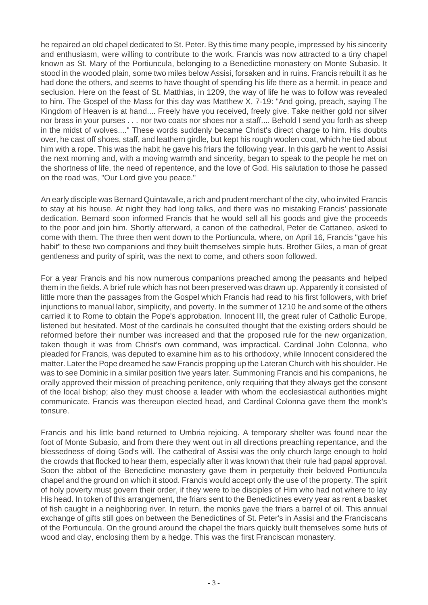he repaired an old chapel dedicated to St. Peter. By this time many people, impressed by his sincerity and enthusiasm, were willing to contribute to the work. Francis was now attracted to a tiny chapel known as St. Mary of the Portiuncula, belonging to a Benedictine monastery on Monte Subasio. It stood in the wooded plain, some two miles below Assisi, forsaken and in ruins. Francis rebuilt it as he had done the others, and seems to have thought of spending his life there as a hermit, in peace and seclusion. Here on the feast of St. Matthias, in 1209, the way of life he was to follow was revealed to him. The Gospel of the Mass for this day was Matthew X, 7-19: "And going, preach, saying The Kingdom of Heaven is at hand.... Freely have you received, freely give. Take neither gold nor silver nor brass in your purses . . . nor two coats nor shoes nor a staff.... Behold I send you forth as sheep in the midst of wolves...." These words suddenly became Christ's direct charge to him. His doubts over, he cast off shoes, staff, and leathern girdle, but kept his rough woolen coat, which he tied about him with a rope. This was the habit he gave his friars the following year. In this garb he went to Assisi the next morning and, with a moving warmth and sincerity, began to speak to the people he met on the shortness of life, the need of repentence, and the love of God. His salutation to those he passed on the road was, "Our Lord give you peace."

An early disciple was Bernard Quintavalle, a rich and prudent merchant of the city, who invited Francis to stay at his house. At night they had long talks, and there was no mistaking Francis' passionate dedication. Bernard soon informed Francis that he would sell all his goods and give the proceeds to the poor and join him. Shortly afterward, a canon of the cathedral, Peter de Cattaneo, asked to come with them. The three then went down to the Portiuncula, where, on April 16, Francis "gave his habit" to these two companions and they built themselves simple huts. Brother Giles, a man of great gentleness and purity of spirit, was the next to come, and others soon followed.

For a year Francis and his now numerous companions preached among the peasants and helped them in the fields. A brief rule which has not been preserved was drawn up. Apparently it consisted of little more than the passages from the Gospel which Francis had read to his first followers, with brief injunctions to manual labor, simplicity, and poverty. In the summer of 1210 he and some of the others carried it to Rome to obtain the Pope's approbation. Innocent III, the great ruler of Catholic Europe, listened but hesitated. Most of the cardinals he consulted thought that the existing orders should be reformed before their number was increased and that the proposed rule for the new organization, taken though it was from Christ's own command, was impractical. Cardinal John Colonna, who pleaded for Francis, was deputed to examine him as to his orthodoxy, while Innocent considered the matter. Later the Pope dreamed he saw Francis propping up the Lateran Church with his shoulder. He was to see Dominic in a similar position five years later. Summoning Francis and his companions, he orally approved their mission of preaching penitence, only requiring that they always get the consent of the local bishop; also they must choose a leader with whom the ecclesiastical authorities might communicate. Francis was thereupon elected head, and Cardinal Colonna gave them the monk's tonsure.

Francis and his little band returned to Umbria rejoicing. A temporary shelter was found near the foot of Monte Subasio, and from there they went out in all directions preaching repentance, and the blessedness of doing God's will. The cathedral of Assisi was the only church large enough to hold the crowds that flocked to hear them, especially after it was known that their rule had papal approval. Soon the abbot of the Benedictine monastery gave them in perpetuity their beloved Portiuncula chapel and the ground on which it stood. Francis would accept only the use of the property. The spirit of holy poverty must govern their order, if they were to be disciples of Him who had not where to lay His head. In token of this arrangement, the friars sent to the Benedictines every year as rent a basket of fish caught in a neighboring river. In return, the monks gave the friars a barrel of oil. This annual exchange of gifts still goes on between the Benedictines of St. Peter's in Assisi and the Franciscans of the Portiuncula. On the ground around the chapel the friars quickly built themselves some huts of wood and clay, enclosing them by a hedge. This was the first Franciscan monastery.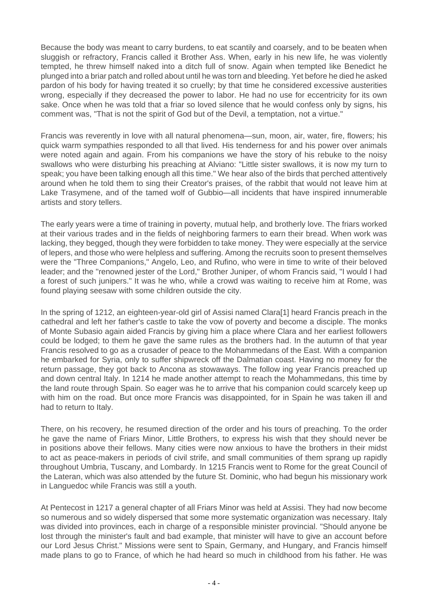Because the body was meant to carry burdens, to eat scantily and coarsely, and to be beaten when sluggish or refractory, Francis called it Brother Ass. When, early in his new life, he was violently tempted, he threw himself naked into a ditch full of snow. Again when tempted like Benedict he plunged into a briar patch and rolled about until he was torn and bleeding. Yet before he died he asked pardon of his body for having treated it so cruelly; by that time he considered excessive austerities wrong, especially if they decreased the power to labor. He had no use for eccentricity for its own sake. Once when he was told that a friar so loved silence that he would confess only by signs, his comment was, "That is not the spirit of God but of the Devil, a temptation, not a virtue."

Francis was reverently in love with all natural phenomena—sun, moon, air, water, fire, flowers; his quick warm sympathies responded to all that lived. His tenderness for and his power over animals were noted again and again. From his companions we have the story of his rebuke to the noisy swallows who were disturbing his preaching at Alviano: "Little sister swallows, it is now my turn to speak; you have been talking enough all this time." We hear also of the birds that perched attentively around when he told them to sing their Creator's praises, of the rabbit that would not leave him at Lake Trasymene, and of the tamed wolf of Gubbio—all incidents that have inspired innumerable artists and story tellers.

The early years were a time of training in poverty, mutual help, and brotherly love. The friars worked at their various trades and in the fields of neighboring farmers to earn their bread. When work was lacking, they begged, though they were forbidden to take money. They were especially at the service of lepers, and those who were helpless and suffering. Among the recruits soon to present themselves were the "Three Companions," Angelo, Leo, and Rufino, who were in time to write of their beloved leader; and the ''renowned jester of the Lord," Brother Juniper, of whom Francis said, "I would I had a forest of such junipers." It was he who, while a crowd was waiting to receive him at Rome, was found playing seesaw with some children outside the city.

In the spring of 1212, an eighteen-year-old girl of Assisi named Clara[1] heard Francis preach in the cathedral and left her father's castle to take the vow of poverty and become a disciple. The monks of Monte Subasio again aided Francis by giving him a place where Clara and her earliest followers could be lodged; to them he gave the same rules as the brothers had. In the autumn of that year Francis resolved to go as a crusader of peace to the Mohammedans of the East. With a companion he embarked for Syria, only to suffer shipwreck off the Dalmatian coast. Having no money for the return passage, they got back to Ancona as stowaways. The follow ing year Francis preached up and down central Italy. In 1214 he made another attempt to reach the Mohammedans, this time by the land route through Spain. So eager was he to arrive that his companion could scarcely keep up with him on the road. But once more Francis was disappointed, for in Spain he was taken ill and had to return to Italy.

There, on his recovery, he resumed direction of the order and his tours of preaching. To the order he gave the name of Friars Minor, Little Brothers, to express his wish that they should never be in positions above their fellows. Many cities were now anxious to have the brothers in their midst to act as peace-makers in periods of civil strife, and small communities of them sprang up rapidly throughout Umbria, Tuscany, and Lombardy. In 1215 Francis went to Rome for the great Council of the Lateran, which was also attended by the future St. Dominic, who had begun his missionary work in Languedoc while Francis was still a youth.

At Pentecost in 1217 a general chapter of all Friars Minor was held at Assisi. They had now become so numerous and so widely dispersed that some more systematic organization was necessary. Italy was divided into provinces, each in charge of a responsible minister provincial. "Should anyone be lost through the minister's fault and bad example, that minister will have to give an account before our Lord Jesus Christ." Missions were sent to Spain, Germany, and Hungary, and Francis himself made plans to go to France, of which he had heard so much in childhood from his father. He was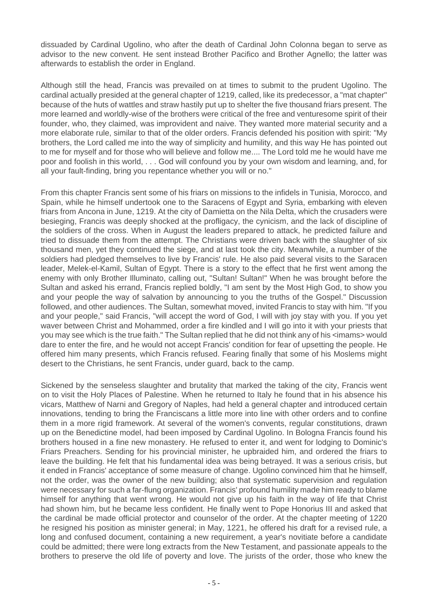dissuaded by Cardinal Ugolino, who after the death of Cardinal John Colonna began to serve as advisor to the new convent. He sent instead Brother Pacifico and Brother Agnello; the latter was afterwards to establish the order in England.

Although still the head, Francis was prevailed on at times to submit to the prudent Ugolino. The cardinal actually presided at the general chapter of 1219, called, like its predecessor, a "mat chapter" because of the huts of wattles and straw hastily put up to shelter the five thousand friars present. The more learned and worldly-wise of the brothers were critical of the free and venturesome spirit of their founder, who, they claimed, was improvident and naive. They wanted more material security and a more elaborate rule, similar to that of the older orders. Francis defended his position with spirit: "My brothers, the Lord called me into the way of simplicity and humility, and this way He has pointed out to me for myself and for those who will believe and follow me.... The Lord told me he would have me poor and foolish in this world, . . . God will confound you by your own wisdom and learning, and, for all your fault-finding, bring you repentance whether you will or no."

From this chapter Francis sent some of his friars on missions to the infidels in Tunisia, Morocco, and Spain, while he himself undertook one to the Saracens of Egypt and Syria, embarking with eleven friars from Ancona in June, 1219. At the city of Damietta on the Nila Delta, which the crusaders were besieging, Francis was deeply shocked at the profligacy, the cynicism, and the lack of discipline of the soldiers of the cross. When in August the leaders prepared to attack, he predicted failure and tried to dissuade them from the attempt. The Christians were driven back with the slaughter of six thousand men, yet they continued the siege, and at last took the city. Meanwhile, a number of the soldiers had pledged themselves to live by Francis' rule. He also paid several visits to the Saracen leader, Melek-el-Kamil, Sultan of Egypt. There is a story to the effect that he first went among the enemy with only Brother Illuminato, calling out, "Sultan! Sultan!" When he was brought before the Sultan and asked his errand, Francis replied boldly, "I am sent by the Most High God, to show you and your people the way of salvation by announcing to you the truths of the Gospel." Discussion followed, and other audiences. The Sultan, somewhat moved, invited Francis to stay with him. "If you and your people," said Francis, "will accept the word of God, I will with joy stay with you. If you yet waver between Christ and Mohammed, order a fire kindled and I will go into it with your priests that you may see which is the true faith." The Sultan replied that he did not think any of his <imams> would dare to enter the fire, and he would not accept Francis' condition for fear of upsetting the people. He offered him many presents, which Francis refused. Fearing finally that some of his Moslems might desert to the Christians, he sent Francis, under guard, back to the camp.

Sickened by the senseless slaughter and brutality that marked the taking of the city, Francis went on to visit the Holy Places of Palestine. When he returned to Italy he found that in his absence his vicars, Matthew of Narni and Gregory of Naples, had held a general chapter and introduced certain innovations, tending to bring the Franciscans a little more into line with other orders and to confine them in a more rigid framework. At several of the women's convents, regular constitutions, drawn up on the Benedictine model, had been imposed by Cardinal Ugolino. In Bologna Francis found his brothers housed in a fine new monastery. He refused to enter it, and went for lodging to Dominic's Friars Preachers. Sending for his provincial minister, he upbraided him, and ordered the friars to leave the building. He felt that his fundamental idea was being betrayed. It was a serious crisis, but it ended in Francis' acceptance of some measure of change. Ugolino convinced him that he himself, not the order, was the owner of the new building; also that systematic supervision and regulation were necessary for such a far-flung organization. Francis' profound humility made him ready to blame himself for anything that went wrong. He would not give up his faith in the way of life that Christ had shown him, but he became less confident. He finally went to Pope Honorius III and asked that the cardinal be made official protector and counselor of the order. At the chapter meeting of 1220 he resigned his position as minister general; in May, 1221, he offered his draft for a revised rule, a long and confused document, containing a new requirement, a year's novitiate before a candidate could be admitted; there were long extracts from the New Testament, and passionate appeals to the brothers to preserve the old life of poverty and love. The jurists of the order, those who knew the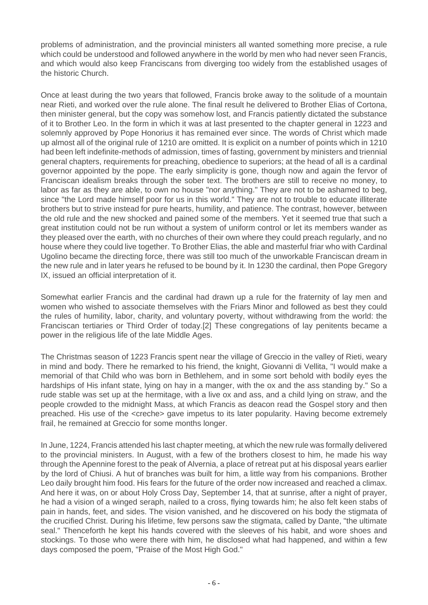problems of administration, and the provincial ministers all wanted something more precise, a rule which could be understood and followed anywhere in the world by men who had never seen Francis, and which would also keep Franciscans from diverging too widely from the established usages of the historic Church.

Once at least during the two years that followed, Francis broke away to the solitude of a mountain near Rieti, and worked over the rule alone. The final result he delivered to Brother Elias of Cortona, then minister general, but the copy was somehow lost, and Francis patiently dictated the substance of it to Brother Leo. In the form in which it was at last presented to the chapter general in 1223 and solemnly approved by Pope Honorius it has remained ever since. The words of Christ which made up almost all of the original rule of 1210 are omitted. It is explicit on a number of points which in 1210 had been left indefinite-methods of admission, times of fasting, government by ministers and triennial general chapters, requirements for preaching, obedience to superiors; at the head of all is a cardinal governor appointed by the pope. The early simplicity is gone, though now and again the fervor of Franciscan idealism breaks through the sober text. The brothers are still to receive no money, to labor as far as they are able, to own no house "nor anything." They are not to be ashamed to beg, since "the Lord made himself poor for us in this world." They are not to trouble to educate illiterate brothers but to strive instead for pure hearts, humility, and patience. The contrast, however, between the old rule and the new shocked and pained some of the members. Yet it seemed true that such a great institution could not be run without a system of uniform control or let its members wander as they pleased over the earth, with no churches of their own where they could preach regularly, and no house where they could live together. To Brother Elias, the able and masterful friar who with Cardinal Ugolino became the directing force, there was still too much of the unworkable Franciscan dream in the new rule and in later years he refused to be bound by it. In 1230 the cardinal, then Pope Gregory IX, issued an official interpretation of it.

Somewhat earlier Francis and the cardinal had drawn up a rule for the fraternity of lay men and women who wished to associate themselves with the Friars Minor and followed as best they could the rules of humility, labor, charity, and voluntary poverty, without withdrawing from the world: the Franciscan tertiaries or Third Order of today.[2] These congregations of lay penitents became a power in the religious life of the late Middle Ages.

The Christmas season of 1223 Francis spent near the village of Greccio in the valley of Rieti, weary in mind and body. There he remarked to his friend, the knight, Giovanni di Vellita, "I would make a memorial of that Child who was born in Bethlehem, and in some sort behold with bodily eyes the hardships of His infant state, lying on hay in a manger, with the ox and the ass standing by." So a rude stable was set up at the hermitage, with a live ox and ass, and a child lying on straw, and the people crowded to the midnight Mass, at which Francis as deacon read the Gospel story and then preached. His use of the <creche> gave impetus to its later popularity. Having become extremely frail, he remained at Greccio for some months longer.

In June, 1224, Francis attended his last chapter meeting, at which the new rule was formally delivered to the provincial ministers. In August, with a few of the brothers closest to him, he made his way through the Apennine forest to the peak of Alvernia, a place of retreat put at his disposal years earlier by the lord of Chiusi. A hut of branches was built for him, a little way from his companions. Brother Leo daily brought him food. His fears for the future of the order now increased and reached a climax. And here it was, on or about Holy Cross Day, September 14, that at sunrise, after a night of prayer, he had a vision of a winged seraph, nailed to a cross, flying towards him; he also felt keen stabs of pain in hands, feet, and sides. The vision vanished, and he discovered on his body the stigmata of the crucified Christ. During his lifetime, few persons saw the stigmata, called by Dante, "the ultimate seal." Thenceforth he kept his hands covered with the sleeves of his habit, and wore shoes and stockings. To those who were there with him, he disclosed what had happened, and within a few days composed the poem, "Praise of the Most High God."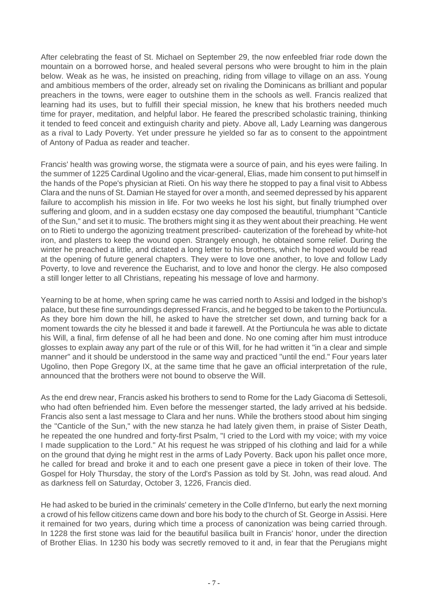After celebrating the feast of St. Michael on September 29, the now enfeebled friar rode down the mountain on a borrowed horse, and healed several persons who were brought to him in the plain below. Weak as he was, he insisted on preaching, riding from village to village on an ass. Young and ambitious members of the order, already set on rivaling the Dominicans as brilliant and popular preachers in the towns, were eager to outshine them in the schools as well. Francis realized that learning had its uses, but to fulfill their special mission, he knew that his brothers needed much time for prayer, meditation, and helpful labor. He feared the prescribed scholastic training, thinking it tended to feed conceit and extinguish charity and piety. Above all, Lady Learning was dangerous as a rival to Lady Poverty. Yet under pressure he yielded so far as to consent to the appointment of Antony of Padua as reader and teacher.

Francis' health was growing worse, the stigmata were a source of pain, and his eyes were failing. In the summer of 1225 Cardinal Ugolino and the vicar-general, Elias, made him consent to put himself in the hands of the Pope's physician at Rieti. On his way there he stopped to pay a final visit to Abbess Clara and the nuns of St. Damian He stayed for over a month, and seemed depressed by his apparent failure to accomplish his mission in life. For two weeks he lost his sight, but finally triumphed over suffering and gloom, and in a sudden ecstasy one day composed the beautiful, triumphant "Canticle of the Sun," and set it to music. The brothers might sing it as they went about their preaching. He went on to Rieti to undergo the agonizing treatment prescribed- cauterization of the forehead by white-hot iron, and plasters to keep the wound open. Strangely enough, he obtained some relief. During the winter he preached a little, and dictated a long letter to his brothers, which he hoped would be read at the opening of future general chapters. They were to love one another, to love and follow Lady Poverty, to love and reverence the Eucharist, and to love and honor the clergy. He also composed a still longer letter to all Christians, repeating his message of love and harmony.

Yearning to be at home, when spring came he was carried north to Assisi and lodged in the bishop's palace, but these fine surroundings depressed Francis, and he begged to be taken to the Portiuncula. As they bore him down the hill, he asked to have the stretcher set down, and turning back for a moment towards the city he blessed it and bade it farewell. At the Portiuncula he was able to dictate his Will, a final, firm defense of all he had been and done. No one coming after him must introduce glosses to explain away any part of the rule or of this Will, for he had written it "in a clear and simple manner" and it should be understood in the same way and practiced "until the end." Four years later Ugolino, then Pope Gregory IX, at the same time that he gave an official interpretation of the rule, announced that the brothers were not bound to observe the Will.

As the end drew near, Francis asked his brothers to send to Rome for the Lady Giacoma di Settesoli, who had often befriended him. Even before the messenger started, the lady arrived at his bedside. Francis also sent a last message to Clara and her nuns. While the brothers stood about him singing the "Canticle of the Sun," with the new stanza he had lately given them, in praise of Sister Death, he repeated the one hundred and forty-first Psalm, "I cried to the Lord with my voice; with my voice I made supplication to the Lord." At his request he was stripped of his clothing and laid for a while on the ground that dying he might rest in the arms of Lady Poverty. Back upon his pallet once more, he called for bread and broke it and to each one present gave a piece in token of their love. The Gospel for Holy Thursday, the story of the Lord's Passion as told by St. John, was read aloud. And as darkness fell on Saturday, October 3, 1226, Francis died.

He had asked to be buried in the criminals' cemetery in the Colle d'Inferno, but early the next morning a crowd of his fellow citizens came down and bore his body to the church of St. George in Assisi. Here it remained for two years, during which time a process of canonization was being carried through. In 1228 the first stone was laid for the beautiful basilica built in Francis' honor, under the direction of Brother Elias. In 1230 his body was secretly removed to it and, in fear that the Perugians might